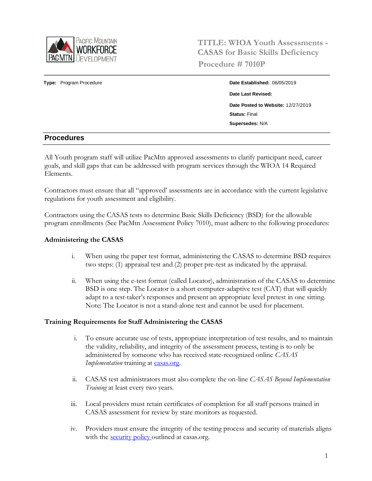

**TITLE: WIOA Youth Assessments - CASAS for Basic Skills Deficiency Procedure # 7010P**

# **Type:** Program Procedure **Date Established:** 06/05/2019 **Date Last Revised: Date Posted to Website:** 12/27/2019 **Status:** Final **Supersedes:** N/A

## **Procedures**

All Youth program staff will utilize PacMtn approved assessments to clarify participant need, career goals, and skill gaps that can be addressed with program services through the WIOA 14 Required Elements.

Contractors must ensure that all "approved' assessments are in accordance with the current legislative regulations for youth assessment and eligibility.

Contractors using the CASAS tests to determine Basic Skills Deficiency (BSD) for the allowable program enrollments (See PacMtn Assessment Policy 7010), must adhere to the following procedures:

#### **Administering the CASAS**

- i. When using the paper test format, administering the CASAS to determine BSD requires two steps: (1) appraisal test and (2) proper pre-test as indicated by the appraisal.
- ii. When using the e-test format (called Locator), administration of the CASAS to determine BSD is one step. The Locator is a short computer-adaptive test (CAT) that will quickly adapt to a test-taker's responses and present an appropriate level pretest in one sitting. Note: The Locator is not a stand-alone test and cannot be used for placement.

#### **Training Requirements for Staff Administering the CASAS**

- i. To ensure accurate use of tests, appropriate interpretation of test results, and to maintain the validity, reliability, and integrity of the assessment process, testing is to only be administered by someone who has received state-recognized online *CASAS Implementation* training at **casas.org**.
- ii. CASAS test administrators must also complete the on-line *CASAS Beyond Implementation Training* at least every two years.
- iii. Local providers must retain certificates of completion for all staff persons trained in CASAS assessment for review by state monitors as requested.
- iv. Providers must ensure the integrity of the testing process and security of materials aligns with the [security policy o](https://www.casas.org/about-casas/privacy-and-copyright-policy)utlined at casas.org.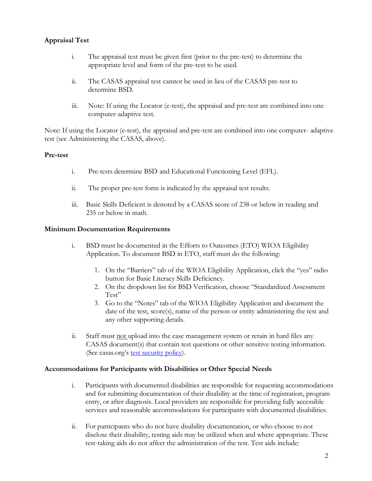## **Appraisal Test**

- i. The appraisal test must be given first (prior to the pre-test) to determine the appropriate level and form of the pre-test to be used.
- ii. The CASAS appraisal test cannot be used in lieu of the CASAS pre-test to determine BSD.
- iii. Note: If using the Locator (e-test), the appraisal and pre-test are combined into one computer-adaptive test.

Note: If using the Locator (e-test), the appraisal and pre-test are combined into one computer- adaptive test (see Administering the CASAS, above).

#### **Pre-test**

- i. Pre-tests determine BSD and Educational Functioning Level (EFL).
- ii. The proper pre-test form is indicated by the appraisal test results.
- iii. Basic Skills Deficient is denoted by a CASAS score of 238 or below in reading and 235 or below in math.

#### **Minimum Documentation Requirements**

- i. BSD must be documented in the Efforts to Outcomes (ETO) WIOA Eligibility Application. To document BSD in ETO, staff must do the following:
	- 1. On the "Barriers" tab of the WIOA Eligibility Application, click the "yes" radio button for Basic Literacy Skills Deficiency.
	- 2. On the dropdown list for BSD Verification, choose "Standardized Assessment Test"
	- 3. Go to the "Notes" tab of the WIOA Eligibility Application and document the date of the test, score(s), name of the person or entity administering the test and any other supporting details.
- ii. Staff must not upload into the case management system or retain in hard files any CASAS document(s) that contain test questions or other sensitive testing information. (See casas.org's [test security policy\)](https://www.casas.org/about-casas/privacy-and-copyright-policy).

#### **Accommodations for Participants with Disabilities or Other Special Needs**

- i. Participants with documented disabilities are responsible for requesting accommodations and for submitting documentation of their disability at the time of registration, program entry, or after diagnosis. Local providers are responsible for providing fully accessible services and reasonable accommodations for participants with documented disabilities.
- ii. For participants who do not have disability documentation, or who choose to not disclose their disability, testing aids may be utilized when and where appropriate. These test-taking aids do not affect the administration of the test. Test aids include: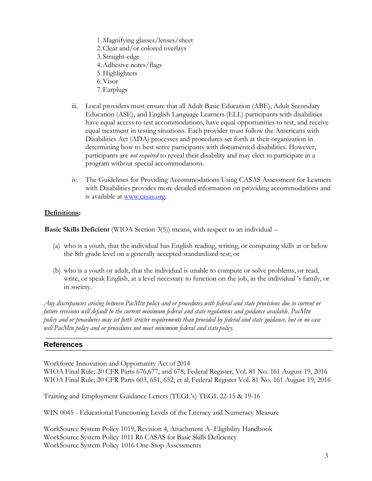- 1.Magnifying glasses/lenses/sheet
- 2.Clear and/or colored overlays
- 3. Straight-edge
- 4.Adhesive notes/flags
- 5.Highlighters
- 6.Visor
- 7.Earplugs
- iii. Local providers must ensure that all Adult Basic Education (ABE), Adult Secondary Education (ASE), and English Language Learners (ELL) participants with disabilities have equal access to test accommodations, have equal opportunities to test, and receive equal treatment in testing situations. Each provider must follow the Americans with Disabilities Act (ADA) processes and procedures set forth at their organization in determining how to best serve participants with documented disabilities. However, participants are *not required* to reveal their disability and may elect to participate in a program without special accommodations.
- iv. The Guidelines for Providing Accommodations Using CASAS Assessment for Learners with Disabilities provides more detailed information on providing accommodations and is available at [www.casas.org.](http://www.casas.org/)

### **Definitions:**

**Basic Skills Deficient** (WIOA Section 3(5)) means, with respect to an individual –

- (a) who is a youth, that the individual has English reading, writing, or computing skills at or below the 8th grade level on a generally accepted standardized test; or
- (b) who is a youth or adult, that the individual is unable to compute or solve problems, or read, write, or speak English, at a level necessary to function on the job, in the individual 's family, or in society.

Any discrepancies arising between PacMtn policy and or procedures with federal and state provisions due to current or *future revisions will default to the current minimum federal and state regulations and guidance available. PacMtn* policy and or procedures may set forth stricter requirements than provided by federal and state guidance, but in no case *will PacMtn policy and or procedures not meet minimum federal and state policy.*

## **References**

Workforce Innovation and Opportunity Act of 2014

WIOA Final Rule; 20 CFR Parts 676,677, and 678; Federal Register, Vol. 81 No. 161 August 19, 2016 WIOA Final Rule; 20 CFR Parts 603, 651, 652, et al; Federal Register Vol. 81 No. 161 August 19, 2016

Training and Employment Guidance Letters (TEGL's) TEGL 22-15 & 19-16

WIN 0045 - Educational Functioning Levels of the Literacy and Numeracy Measure

WorkSource System Policy 1019, Revision 4, Attachment A- Eligibility Handbook WorkSource System Policy 1011 R6 CASAS for Basic Skills Deficiency WorkSource System Policy 1016 One-Stop Assessments